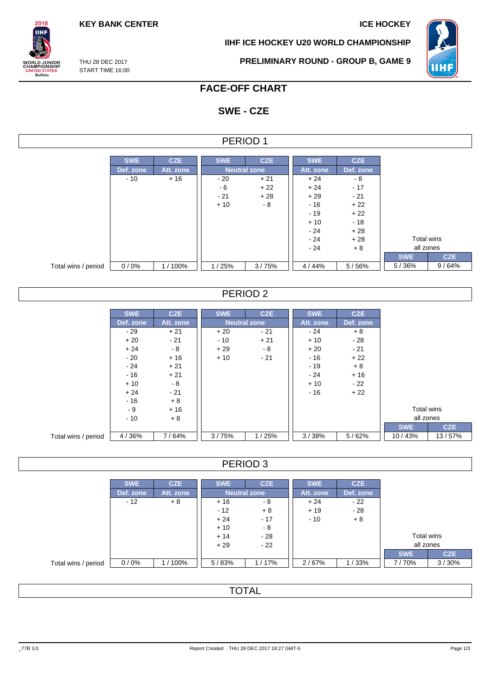**KEY BANK CENTER ICE HOCKEY** 

**IIHF ICE HOCKEY U20 WORLD CHAMPIONSHIP**



THU 28 DEC 2017 START TIME 16:00

 $2018$ **IIHF** 

**ORLD JUNIOR**<br>HAMPIONSHIP

UNITED STATES<br>Buffalo

**PRELIMINARY ROUND - GROUP B, GAME 9**

# **FACE-OFF CHART**

# **SWE - CZE**

| PERIOD 1            |            |            |            |                     |            |            |            |            |  |  |  |
|---------------------|------------|------------|------------|---------------------|------------|------------|------------|------------|--|--|--|
|                     |            |            |            |                     |            |            |            |            |  |  |  |
|                     | <b>SWE</b> | <b>CZE</b> | <b>SWE</b> | <b>CZE</b>          | <b>SWE</b> | <b>CZE</b> |            |            |  |  |  |
|                     | Def. zone  | Att. zone  |            | <b>Neutral zone</b> | Att. zone  | Def. zone  |            |            |  |  |  |
|                     | $-10$      | $+16$      | $-20$      | $+21$               | $+24$      | - 8        |            |            |  |  |  |
|                     |            |            | - 6        | $+22$               | $+24$      | $-17$      |            |            |  |  |  |
|                     |            |            | $-21$      | $+28$               | $+29$      | $-21$      |            |            |  |  |  |
|                     |            |            | $+10$      | $-8$                | $-16$      | $+22$      |            |            |  |  |  |
|                     |            |            |            |                     | $-19$      | $+22$      |            |            |  |  |  |
|                     |            |            |            |                     | $+10$      | $-18$      |            |            |  |  |  |
|                     |            |            |            |                     | $-24$      | $+28$      |            |            |  |  |  |
|                     |            |            |            |                     | $-24$      | $+28$      | Total wins |            |  |  |  |
|                     |            |            |            |                     | $-24$      | $+8$       | all zones  |            |  |  |  |
|                     |            |            |            |                     |            |            | <b>SWE</b> | <b>CZE</b> |  |  |  |
| Total wins / period | 0/0%       | 1/100%     | 1/25%      | 3/75%               | 4 / 44%    | 5/56%      | 5/36%      | 9/64%      |  |  |  |

## PERIOD 2

|                     | <b>SWE</b> | <b>CZE</b> | <b>SWE</b> | <b>CZE</b>          | <b>SWE</b> | <b>CZE</b> |                   |
|---------------------|------------|------------|------------|---------------------|------------|------------|-------------------|
|                     | Def. zone  | Att. zone  |            | <b>Neutral zone</b> | Att. zone  | Def. zone  |                   |
|                     | $-29$      | $+21$      | $+20$      | $-21$               | $-24$      | $+8$       |                   |
|                     | $+20$      | $-21$      | $-10$      | $+21$               | $+10$      | $-28$      |                   |
|                     | $+24$      | $-8$       | $+29$      | - 8                 | $+20$      | $-21$      |                   |
|                     | $-20$      | $+16$      | $+10$      | $-21$               | $-16$      | $+22$      |                   |
|                     | $-24$      | $+21$      |            |                     | $-19$      | $+8$       |                   |
|                     | $-16$      | $+21$      |            |                     | $-24$      | $+16$      |                   |
|                     | $+10$      | $-8$       |            |                     | $+10$      | $-22$      |                   |
|                     | $+24$      | $-21$      |            |                     | $-16$      | $+22$      |                   |
|                     | $-16$      | $+8$       |            |                     |            |            |                   |
|                     | - 9        | $+16$      |            |                     |            |            | <b>Total wins</b> |
|                     | $-10$      | $+8$       |            |                     |            |            | all zones         |
|                     |            |            |            |                     |            |            | <b>SWE</b>        |
| Total wins / period | 4/36%      | 7/64%      | 3/75%      | 1/25%               | 3/38%      | 5/62%      | 10/43%            |

### PERIOD 3

|                     | <b>SWE</b> | <b>CZE</b> | <b>SWE</b>          | <b>CZE</b> | <b>SWE</b> | <b>CZE</b> |            |            |
|---------------------|------------|------------|---------------------|------------|------------|------------|------------|------------|
|                     | Def. zone  | Att. zone  | <b>Neutral zone</b> |            | Att. zone  | Def. zone  |            |            |
|                     | $-12$      | $+8$       | $+16$               | - 8        | $+24$      | $-22$      |            |            |
|                     |            |            | $-12$               | $+8$       | $+19$      | $-28$      |            |            |
|                     |            |            | $+24$               | $-17$      | $-10$      | $+8$       |            |            |
|                     |            |            | $+10$               | - 8        |            |            |            |            |
|                     |            |            | $+14$               | - 28       |            |            | Total wins |            |
|                     |            |            | $-22$<br>$+29$      |            |            |            | all zones  |            |
|                     |            |            |                     |            |            |            | <b>SWE</b> | <b>CZE</b> |
| Total wins / period | 0/0%       | 1/100%     | 5/83%               | 1/17%      | 2/67%      | 1/33%      | 7/70%      | 3/30%      |

## **TOTAL**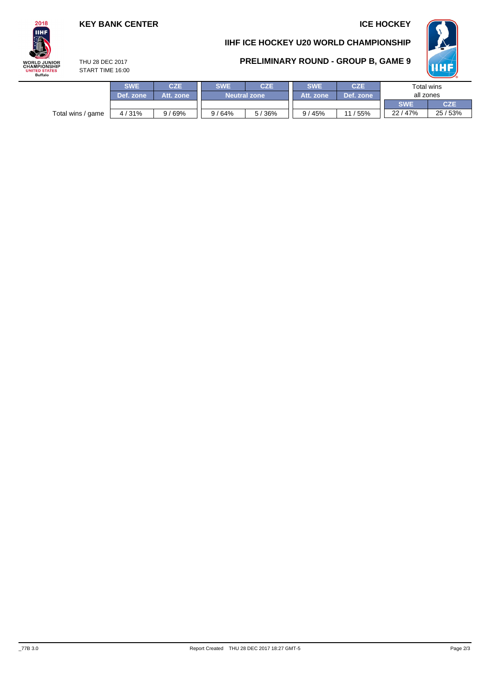# **KEY BANK CENTER ICE HOCKEY**

# $2018$ **IIHF WORLD JUNIOR**<br>CHAMPIONSHIP UNITED STATES<br>Buffalo

# **IIHF ICE HOCKEY U20 WORLD CHAMPIONSHIP**





THU 28 DEC 2017 START TIME 16:00

|                   | <b>SWE</b> | <b>CZE</b> | <b>SWE</b><br><b>CZE</b> |       | <b>SWE</b> | <b>CZE</b> | Total wins |            |  |
|-------------------|------------|------------|--------------------------|-------|------------|------------|------------|------------|--|
|                   | Def. zone  | Att. zone  | <b>Neutral zone</b>      |       | Att. zone  | Def. zone  | all zones  |            |  |
|                   |            |            |                          |       |            |            | <b>SWE</b> | <b>CZE</b> |  |
| Total wins / game | 4/31%      | 169%<br>9  | 9/64%                    | 5/36% | 9/45%      | 55%        | 22/47%     | 25/53%     |  |
|                   |            |            |                          |       |            |            |            |            |  |